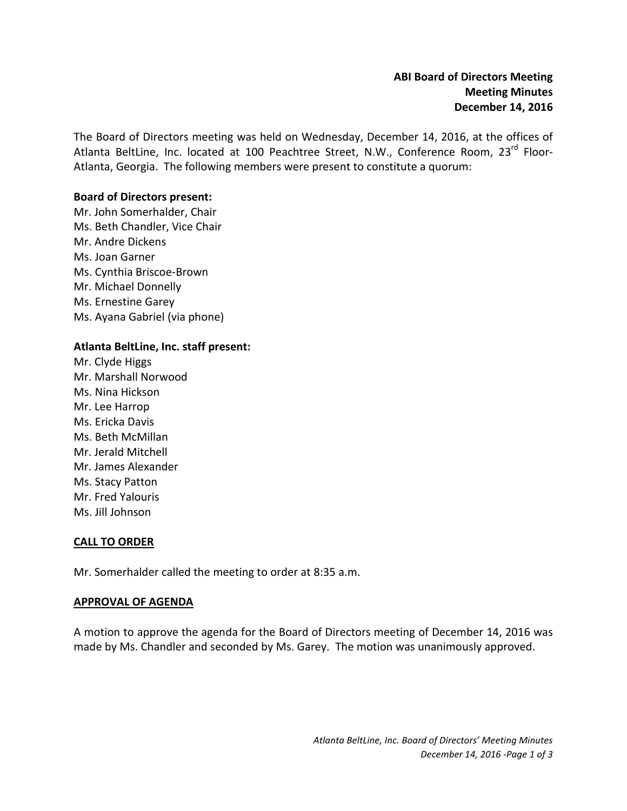The Board of Directors meeting was held on Wednesday, December 14, 2016, at the offices of Atlanta BeltLine, Inc. located at 100 Peachtree Street, N.W., Conference Room, 23<sup>rd</sup> Floor-Atlanta, Georgia. The following members were present to constitute a quorum:

## **Board of Directors present:**

Mr. John Somerhalder, Chair Ms. Beth Chandler, Vice Chair Mr. Andre Dickens Ms. Joan Garner Ms. Cynthia Briscoe-Brown Mr. Michael Donnelly Ms. Ernestine Garey Ms. Ayana Gabriel (via phone)

### **Atlanta BeltLine, Inc. staff present:**

Mr. Clyde Higgs Mr. Marshall Norwood Ms. Nina Hickson Mr. Lee Harrop Ms. Ericka Davis Ms. Beth McMillan Mr. Jerald Mitchell Mr. James Alexander Ms. Stacy Patton Mr. Fred Yalouris Ms. Jill Johnson

#### **CALL TO ORDER**

Mr. Somerhalder called the meeting to order at 8:35 a.m.

#### **APPROVAL OF AGENDA**

A motion to approve the agenda for the Board of Directors meeting of December 14, 2016 was made by Ms. Chandler and seconded by Ms. Garey. The motion was unanimously approved.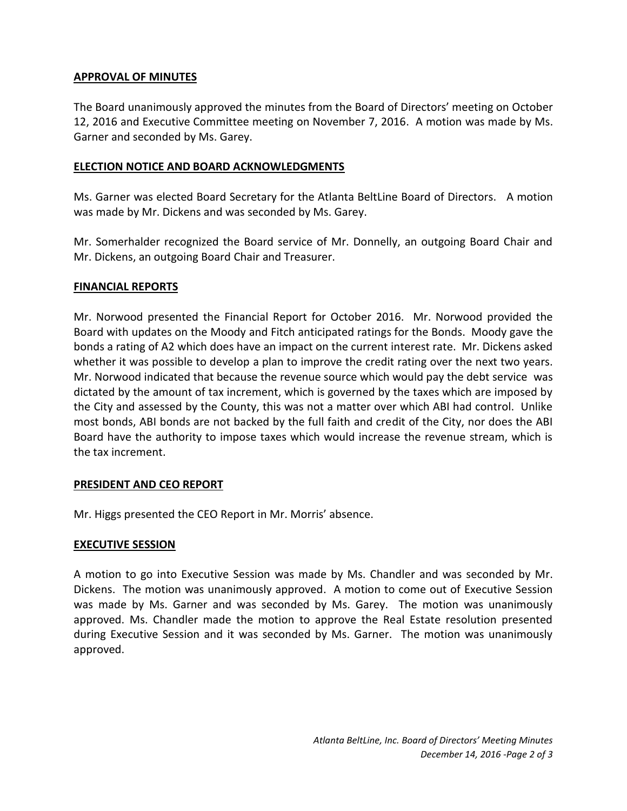# **APPROVAL OF MINUTES**

The Board unanimously approved the minutes from the Board of Directors' meeting on October 12, 2016 and Executive Committee meeting on November 7, 2016. A motion was made by Ms. Garner and seconded by Ms. Garey.

# **ELECTION NOTICE AND BOARD ACKNOWLEDGMENTS**

Ms. Garner was elected Board Secretary for the Atlanta BeltLine Board of Directors. A motion was made by Mr. Dickens and was seconded by Ms. Garey.

Mr. Somerhalder recognized the Board service of Mr. Donnelly, an outgoing Board Chair and Mr. Dickens, an outgoing Board Chair and Treasurer.

# **FINANCIAL REPORTS**

Mr. Norwood presented the Financial Report for October 2016. Mr. Norwood provided the Board with updates on the Moody and Fitch anticipated ratings for the Bonds. Moody gave the bonds a rating of A2 which does have an impact on the current interest rate. Mr. Dickens asked whether it was possible to develop a plan to improve the credit rating over the next two years. Mr. Norwood indicated that because the revenue source which would pay the debt service was dictated by the amount of tax increment, which is governed by the taxes which are imposed by the City and assessed by the County, this was not a matter over which ABI had control. Unlike most bonds, ABI bonds are not backed by the full faith and credit of the City, nor does the ABI Board have the authority to impose taxes which would increase the revenue stream, which is the tax increment.

# **PRESIDENT AND CEO REPORT**

Mr. Higgs presented the CEO Report in Mr. Morris' absence.

# **EXECUTIVE SESSION**

A motion to go into Executive Session was made by Ms. Chandler and was seconded by Mr. Dickens. The motion was unanimously approved. A motion to come out of Executive Session was made by Ms. Garner and was seconded by Ms. Garey. The motion was unanimously approved. Ms. Chandler made the motion to approve the Real Estate resolution presented during Executive Session and it was seconded by Ms. Garner. The motion was unanimously approved.